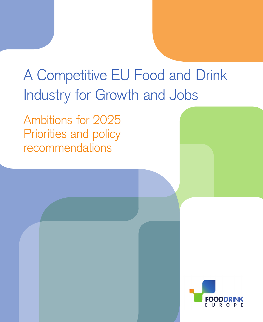# A Competitive EU Food and Drink Industry for Growth and Jobs

Ambitions for 2025 Priorities and policy recommendations

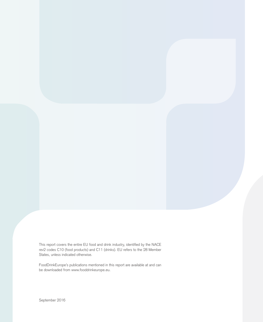This report covers the entire EU food and drink industry, identified by the NACE rev2 codes C10 (food products) and C11 (drinks). EU refers to the 28 Member States, unless indicated otherwise.

FoodDrinkEurope's publications mentioned in this report are available at and can be downloaded from [www.fooddrinkeurope.eu.](http://www.fooddrinkeurope.eu)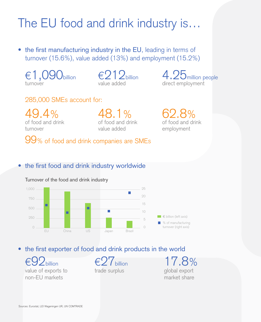## The EU food and drink industry is…

• the first manufacturing industry in the EU, leading in terms of turnover (15.6%), value added (13%) and employment (15.2%)

 $\in$  1,090 billion turnover

 $\epsilon$ 212billion value added

4.25 million people direct employment

#### 285,000 SMEs account for:

49.4% of food and drink turnover

48.1% of food and drink value added

62.8% of food and drink employment

99% of food and drink companies are SMEs

#### • the first food and drink industry worldwide



Turnover of the food and drink industry

• the first exporter of food and drink products in the world

 $92$ billion value of exports to non-EU markets

 $\epsilon$ ?7 $b$ illion trade surplus

17.8% global export market share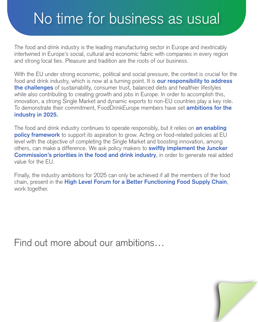## No time for business as usual

The food and drink industry is the leading manufacturing sector in Europe and inextricably intertwined in Europe's social, cultural and economic fabric with companies in every region and strong local ties. Pleasure and tradition are the roots of our business.

With the EU under strong economic, political and social pressure, the context is crucial for the food and drink industry, which is now at a turning point. It is **our responsibility to address the challenges** of sustainability, consumer trust, balanced diets and healthier lifestyles while also contributing to creating growth and jobs in Europe. In order to accomplish this, innovation, a strong Single Market and dynamic exports to non-EU countries play a key role. To demonstrate their commitment, FoodDrinkEurope members have set **ambitions for the industry in 2025.**

The food and drink industry continues to operate responsibly, but it relies on **an enabling policy framework** to support its aspiration to grow. Acting on food-related policies at EU level with the objective of completing the Single Market and boosting innovation, among others, can make a difference. We ask policy makers to **swiftly implement the Juncker Commission's priorities in the food and drink industry**, in order to generate real added value for the EU.

Finally, the industry ambitions for 2025 can only be achieved if all the members of the food chain, present in the **High Level Forum for a Better Functioning Food Supply Chain**, work together.

Find out more about our ambitions…

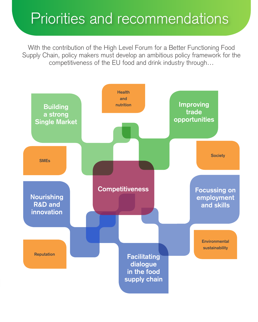## Priorities and recommendations

With the contribution of the High Level Forum for a Better Functioning Food Supply Chain, policy makers must develop an ambitious policy framework for the competitiveness of the EU food and drink industry through…

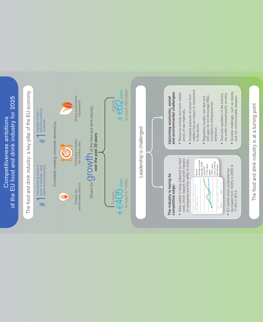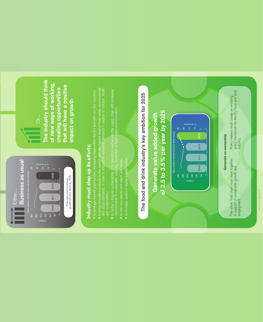

**The industry should think**  The industry should think **of new ways of working,**  of new ways of working, **that will have a positive**  that will have a positive creating opportunities **creating opportunities**  impact on growth **impact on growth**

# ndustry must step up its efforts: **Industry must step up its efforts:**

- $\bullet$  to leverage market opportunities, increasing trade within the EU and with non-EU countries;
- to bring innovative products to the market with the highest level of food safety, environmental<br>and social standards, in order to respond to consumer demands in relation to nutrition, health to bring innovative products to the market with the highest level of food safety, environmental and social standards, in order to respond to consumer demands in relation to nutrition, health and sustainability;
- to further integrate sustainability in its operations and across the supply chain with increased<br>commitments to sustainable sourcing, prevention of food waste and innovation; to further integrate sustainability in its operations and across the supply chain with increased commitments to sustainable sourcing, prevention of food waste and innovation;
	- to hire new talents and match skill needs; to hire new talents and match skill needs; • to increase speed of digital transformation. to increase speed of digital transformation.



Source of data: LEI Wageningen UR ource of data: LEI Wageningen UF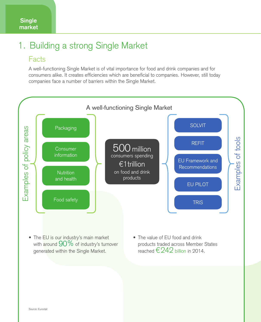## 1. Building a strong Single Market

#### **Facts**

A well-functioning Single Market is of vital importance for food and drink companies and for consumers alike. It creates efficiencies which are beneficial to companies. However, still today companies face a number of barriers within the Single Market.



- with around  $90\%$  of industry's turnover generated within the Single Market.
- products traded across Member States reached  $\epsilon$  242 billion in 2014.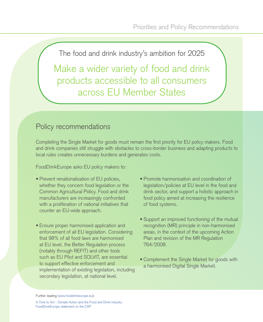Make a wider variety of food and drink products accessible to all consumers across EU Member States

#### Policy recommendations

Completing the Single Market for goods must remain the first priority for EU policy makers. Food and drink companies still struggle with obstacles to cross-border business and adapting products to local rules creates unnecessary burdens and generates costs.

FoodDrinkEurope asks EU policy makers to:

- Prevent renationalisation of EU policies, whether they concern food legislation or the Common Agricultural Policy. Food and drink manufacturers are increasingly confronted with a proliferation of national initiatives that counter an EU-wide approach.
- Ensure proper harmonised application and enforcement of all EU legislation. Considering that 98% of all food laws are harmonised at EU level, the Better Regulation process (notably through REFIT) and other tools such as EU Pilot and SOLVIT, are essential to support effective enforcement and implementation of existing legislation, including secondary legislation, at national level.
- Promote harmonisation and coordination of legislation/policies at EU level in the food and drink sector, and support a holistic approach in food policy aimed at increasing the resilience of food systems.
- Support an improved functioning of the mutual recognition (MR) principle in non-harmonised areas, in the context of the upcoming Action Plan and revision of the MR Regulation 764/2008.
- Complement the Single Market for goods with a harmonised Digital Single Market.

Further reading [\(www.fooddrinkeurope.eu\)](http://www.fooddrinkeurope.eu):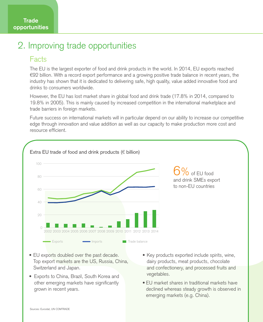#### 2. Improving trade opportunities

#### Facts

The EU is the largest exporter of food and drink products in the world. In 2014, EU exports reached €92 billion. With a record export performance and a growing positive trade balance in recent years, the industry has shown that it is dedicated to delivering safe, high quality, value added innovative food and drinks to consumers worldwide.

However, the EU has lost market share in global food and drink trade (17.8% in 2014, compared to 19.8% in 2005). This is mainly caused by increased competition in the international marketplace and trade barriers in foreign markets.

Future success on international markets will in particular depend on our ability to increase our competitive edge through innovation and value addition as well as our capacity to make production more cost and resource efficient.



- EU exports doubled over the past decade. Top export markets are the US, Russia, China, Switzerland and Japan.
- Exports to China, Brazil, South Korea and other emerging markets have significantly grown in recent years.
- Key products exported include spirits, wine, dairy products, meat products, chocolate and confectionery, and processed fruits and vegetables.
- EU market shares in traditional markets have declined whereas steady growth is observed in emerging markets (e.g. China).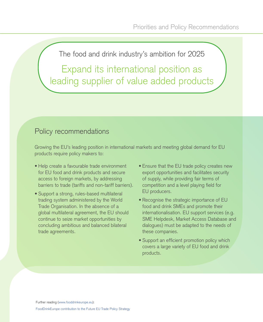Expand its international position as leading supplier of value added products

#### Policy recommendations

Growing the EU's leading position in international markets and meeting global demand for EU products require policy makers to:

- Help create a favourable trade environment for EU food and drink products and secure access to foreign markets, by addressing barriers to trade (tariffs and non-tariff barriers).
- Support a strong, rules-based multilateral trading system administered by the World Trade Organisation. In the absence of a global multilateral agreement, the EU should continue to seize market opportunities by concluding ambitious and balanced bilateral trade agreements.
- Ensure that the EU trade policy creates new export opportunities and facilitates security of supply, while providing fair terms of competition and a level playing field for EU producers.
- Recognise the strategic importance of EU food and drink SMEs and promote their internationalisation. EU support services (e.g. SME Helpdesk, Market Access Database and dialogues) must be adapted to the needs of these companies.
- Support an efficient promotion policy which covers a large variety of EU food and drink products.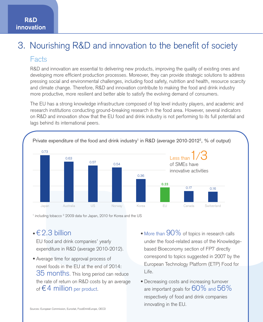## 3. Nourishing R&D and innovation to the benefit of society

#### **Facts**

R&D and innovation are essential to delivering new products, improving the quality of existing ones and developing more efficient production processes. Moreover, they can provide strategic solutions to address pressing social and environmental challenges, including food safety, nutrition and health, resource scarcity and climate change. Therefore, R&D and innovation contribute to making the food and drink industry more productive, more resilient and better able to satisfy the evolving demand of consumers.

The EU has a strong knowledge infrastructure composed of top level industry players, and academic and research institutions conducting ground-breaking research in the food area. However, several indicators on R&D and innovation show that the EU food and drink industry is not performing to its full potential and lags behind its international peers.



<sup>1</sup> including tobacco <sup>2</sup> 2009 data for Japan, 2010 for Korea and the US

#### $\cdot \in 2.3$  billion

EU food and drink companies' yearly expenditure in R&D (average 2010-2012).

- Average time for approval process of novel foods in the EU at the end of 2014: 35 months. This long period can reduce the rate of return on R&D costs by an average of  $\epsilon$  4 million per product.
- More than  $90\%$  of topics in research calls under the food-related areas of the Knowledgebased Bioeconomy section of FP7 directly correspond to topics suggested in 2007 by the European Technology Platform (ETP) Food for Life.
- Decreasing costs and increasing turnover are important goals for  $60\%$  and  $56\%$ respectively of food and drink companies innovating in the EU.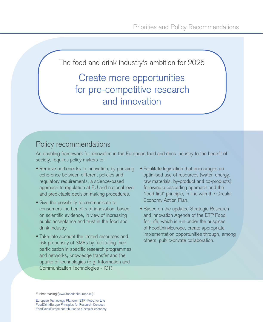#### Create more opportunities for pre-competitive research and innovation

#### Policy recommendations

An enabling framework for innovation in the European food and drink industry to the benefit of society, requires policy makers to:

- Remove bottlenecks to innovation, by pursuing coherence between different policies and regulatory requirements, a science-based approach to regulation at EU and national level and predictable decision making procedures.
- Give the possibility to communicate to consumers the benefits of innovation, based on scientific evidence, in view of increasing public acceptance and trust in the food and drink industry.
- Take into account the limited resources and risk propensity of SMEs by facilitating their participation in specific research programmes and networks, knowledge transfer and the uptake of technologies (e.g. Information and Communication Technologies - ICT).
- Facilitate legislation that encourages an optimised use of resources (water, energy, raw materials, by-product and co-products), following a cascading approach and the "food first" principle, in line with the Circular Economy Action Plan.
- Based on the updated Strategic Research and Innovation Agenda of the ETP Food for Life, which is run under the auspices of FoodDrinkEurope, create appropriate implementation opportunities through, among others, public-private collaboration.

Further reading [\(www.fooddrinkeurope.eu\)](http://www.fooddrinkeurope.eu):

[European Technology Platform \(ETP\) Food for Life](http://etp.fooddrinkeurope.eu) [FoodDrinkEurope Principles for Research Conduct](http://www.fooddrinkeurope.eu/uploads/publications_documents/Principles_for_research_conduct.pdf) [FoodDrinkEurope contribution to a circular economy](http://www.fooddrinkeurope.eu/uploads/static_pages_documents/FoodDrinkEurope_contribution_to_the_circular_economy.pdf)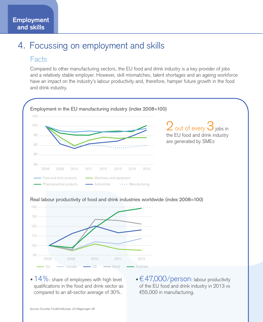#### 4. Focussing on employment and skills

#### Facts

Compared to other manufacturing sectors, the EU food and drink industry is a key provider of jobs and a relatively stable employer. However, skill mismatches, talent shortages and an ageing workforce have an impact on the industry's labour productivity and, therefore, hamper future growth in the food and drink industry.





#### Real labour productivity of food and drink industries worldwide (index 2008=100)

 $\cdot$  14%: share of employees with high level qualifications in the food and drink sector as compared to an all-sector average of 30%.

 $\cdot \in$  47,000/person: labour productivity of the EU food and drink industry in 2013 vs €55,000 in manufacturing.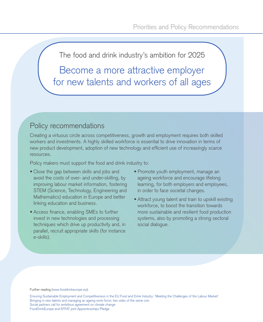Become a more attractive employer for new talents and workers of all ages

#### Policy recommendations

Creating a virtuous circle across competitiveness, growth and employment requires both skilled workers and investments. A highly skilled workforce is essential to drive innovation in terms of new product development, adoption of new technology and efficient use of increasingly scarce resources.

Policy makers must support the food and drink industry to:

- Close the gap between skills and jobs and avoid the costs of over- and under-skilling, by improving labour market information, fostering STEM (Science, Technology, Engineering and Mathematics) education in Europe and better linking education and business.
- Access finance, enabling SMEs to further invest in new technologies and processing techniques which drive up productivity and, in parallel, recruit appropriate skills (for instance e-skills).
- Promote youth employment, manage an ageing workforce and encourage lifelong learning, for both employers and employees, in order to face societal changes.
- Attract young talent and train to upskill existing workforce, to boost the transition towards more sustainable and resilient food production systems, also by promoting a strong sectoral social dialogue.

#### Further reading ([www.fooddrinkeurope.eu](http://www.fooddrinkeurope.eu)):

[Ensuring Sustainable Employment and Competitiveness in the EU Food and Drink Industry: 'Meeting the Challenges of the Labour Market'](http://www.fooddrinkeurope.eu/uploads/publications_documents/Final_Report.pdf) [Bringing in new talents and managing an ageing work-force: two sides of the same coin](http://www.fooddrinkeurope.eu/uploads/publications_documents/ese-brochure-toolkit-web.pdf) [Social partners call for ambitious agreement on climate change](http://www.fooddrinkeurope.eu/uploads/statements_documents/Social_dialogue_joint_position_on_climate_change.pdf) [FoodDrinkEurope and EFFAT joint Apprenticeships Pledge](http://www.fooddrinkeurope.eu/uploads/press-releases_documents/FoodDrinkEurope_EFFAT_Pledge.pdf)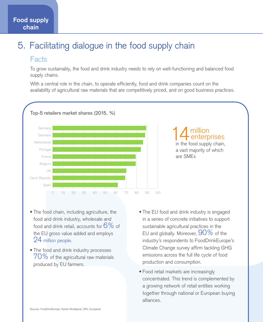## 5. Facilitating dialogue in the food supply chain

#### **Facts**

**Food supply chain**

> To grow sustainably, the food and drink industry needs to rely on well-functioning and balanced food supply chains.

> With a central role in the chain, to operate efficiently, food and drink companies count on the availability of agricultural raw materials that are competitively priced, and on good business practices.



# 14 million<br>in the food supply chain,

a vast majority of which are SMEs

- The food chain, including agriculture, the food and drink industry, wholesale and food and drink retail, accounts for  $6\%$  of the EU gross value added and employs 24 million people.
- The food and drink industry processes  $70\%$  of the agricultural raw materials produced by EU farmers.
- The EU food and drink industry is engaged in a series of concrete initiatives to support sustainable agricultural practices in the EU and globally. Moreover,  $90\%$  of the industry's respondents to FoodDrinkEurope's Climate Change survey affirm tackling GHG emissions across the full life cycle of food production and consumption.
- Food retail markets are increasingly concentrated. This trend is complemented by a growing network of retail entities working together through national or European buying alliances.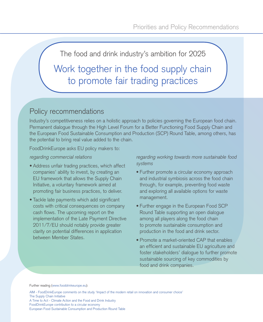Work together in the food supply chain to promote fair trading practices

#### Policy recommendations

Industry's competitiveness relies on a holistic approach to policies governing the European food chain. Permanent dialogue through the High Level Forum for a Better Functioning Food Supply Chain and the European Food Sustainable Consumption and Production (SCP) Round Table, among others, has the potential to bring real value added to the chain.

FoodDrinkEurope asks EU policy makers to:

#### regarding commercial relations

- Address unfair trading practices, which affect companies' ability to invest, by creating an EU framework that allows the Supply Chain Initiative, a voluntary framework aimed at promoting fair business practices, to deliver.
- Tackle late payments which add significant costs with critical consequences on company cash flows. The upcoming report on the implementation of the Late Payment Directive 2011/7/EU should notably provide greater clarity on potential differences in application between Member States.

regarding working towards more sustainable food systems

- Further promote a circular economy approach and industrial symbiosis across the food chain through, for example, preventing food waste and exploring all available options for waste management.
- Further engage in the European Food SCP Round Table supporting an open dialogue among all players along the food chain to promote sustainable consumption and production in the food and drink sector.
- Promote a market-oriented CAP that enables an efficient and sustainable EU agriculture and foster stakeholders' dialogue to further promote sustainable sourcing of key commodities by food and drink companies.

Further reading [\(www.fooddrinkeurope.eu](http://www.fooddrinkeurope.eu)):

[AIM - FoodDrinkEurope comments on the study 'Impact of the modern retail on innovation and consumer choice'](http://www.aim.be/uploads/brand_events_documents/AIM-FoodDrinkEurope.pdf) [The Supply Chain Initiative](http://www.supplychaininitiative.eu/)

[A Time to Act - Climate Action and the Food and Drink Industry](http://www.fooddrinkeurope.eu/uploads/publications_documents/FoodDrink_Europe_Climate_Action_Brochure.pdf) [FoodDrinkEurope contribution to a circular economy](http://www.fooddrinkeurope.eu/uploads/static_pages_documents/FoodDrinkEurope_contribution_to_the_circular_economy.pdf) [European Food Sustainable Consumption and Production Round Table](http://www.food-scp.eu/)